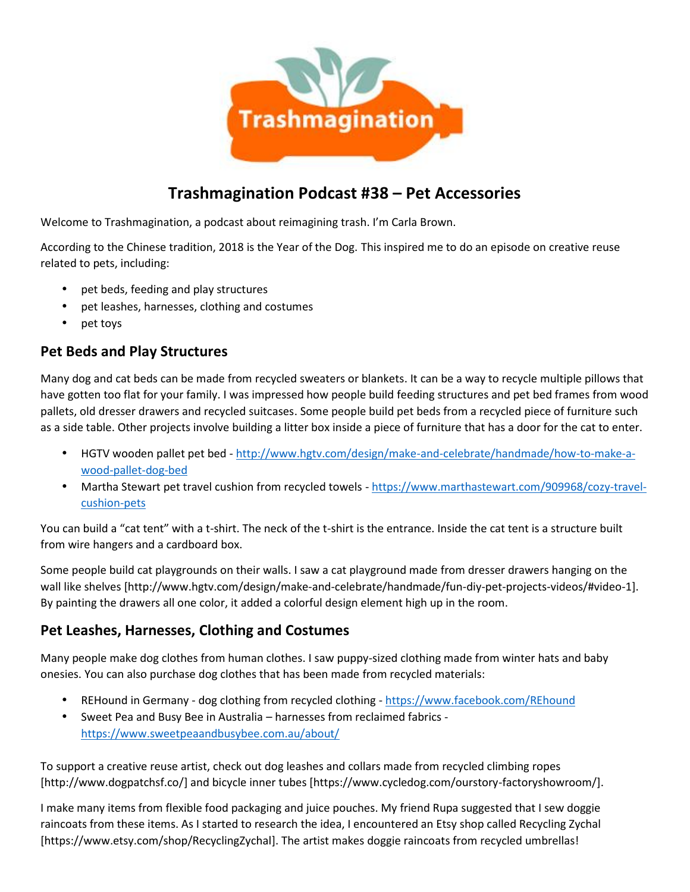

# **Trashmagination Podcast #38 – Pet Accessories**

Welcome to Trashmagination, a podcast about reimagining trash. I'm Carla Brown.

According to the Chinese tradition, 2018 is the Year of the Dog. This inspired me to do an episode on creative reuse related to pets, including:

- pet beds, feeding and play structures
- pet leashes, harnesses, clothing and costumes
- pet toys

#### **Pet Beds and Play Structures**

Many dog and cat beds can be made from recycled sweaters or blankets. It can be a way to recycle multiple pillows that have gotten too flat for your family. I was impressed how people build feeding structures and pet bed frames from wood pallets, old dresser drawers and recycled suitcases. Some people build pet beds from a recycled piece of furniture such as a side table. Other projects involve building a litter box inside a piece of furniture that has a door for the cat to enter.

- HGTV wooden pallet pet bed http://www.hgtv.com/design/make-and-celebrate/handmade/how-to-make-a wood-pallet-dog-bed
- Martha Stewart pet travel cushion from recycled towels https://www.marthastewart.com/909968/cozy-travel cushion-pets

You can build a "cat tent" with a t-shirt. The neck of the t-shirt is the entrance. Inside the cat tent is a structure built from wire hangers and a cardboard box.

Some people build cat playgrounds on their walls. I saw a cat playground made from dresser drawers hanging on the wall like shelves [http://www.hgtv.com/design/make-and-celebrate/handmade/fun-diy-pet-projects-videos/#video-1]. By painting the drawers all one color, it added a colorful design element high up in the room.

#### **Pet Leashes, Harnesses, Clothing and Costumes**

Many people make dog clothes from human clothes. I saw puppy-sized clothing made from winter hats and baby onesies. You can also purchase dog clothes that has been made from recycled materials:

- REHound in Germany dog clothing from recycled clothing https://www.facebook.com/REhound
- Sweet Pea and Busy Bee in Australia harnesses from reclaimed fabrics https://www.sweetpeaandbusybee.com.au/about/

To support a creative reuse artist, check out dog leashes and collars made from recycled climbing ropes [http://www.dogpatchsf.co/] and bicycle inner tubes [https://www.cycledog.com/ourstory-factoryshowroom/].

I make many items from flexible food packaging and juice pouches. My friend Rupa suggested that I sew doggie raincoats from these items. As I started to research the idea, I encountered an Etsy shop called Recycling Zychal [https://www.etsy.com/shop/RecyclingZychal]. The artist makes doggie raincoats from recycled umbrellas!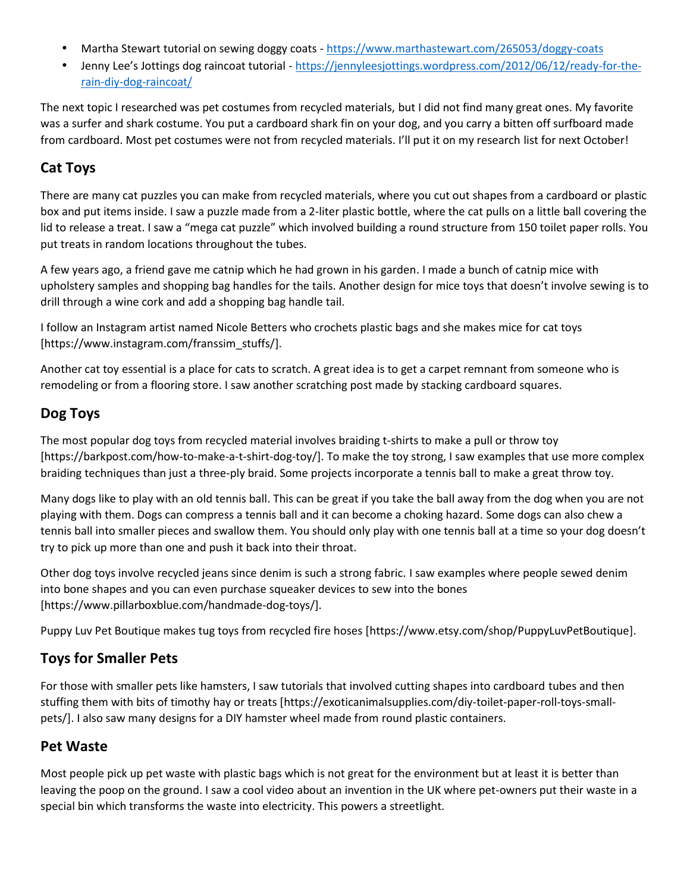- Martha Stewart tutorial on sewing doggy coats https://www.marthastewart.com/265053/doggy-coats
- Jenny Lee's Jottings dog raincoat tutorial https://jennyleesjottings.wordpress.com/2012/06/12/ready-for-the rain-diy-dog-raincoat/

The next topic I researched was pet costumes from recycled materials, but I did not find many great ones. My favorite was a surfer and shark costume. You put a cardboard shark fin on your dog, and you carry a bitten off surfboard made from cardboard. Most pet costumes were not from recycled materials. I'll put it on my research list for next October!

### **Cat Toys**

There are many cat puzzles you can make from recycled materials, where you cut out shapes from a cardboard or plastic box and put items inside. I saw a puzzle made from a 2-liter plastic bottle, where the cat pulls on a little ball covering the lid to release a treat. I saw a "mega cat puzzle" which involved building a round structure from 150 toilet paper rolls. You put treats in random locations throughout the tubes.

A few years ago, a friend gave me catnip which he had grown in his garden. I made a bunch of catnip mice with upholstery samples and shopping bag handles for the tails. Another design for mice toys that doesn't involve sewing is to drill through a wine cork and add a shopping bag handle tail.

I follow an Instagram artist named Nicole Betters who crochets plastic bags and she makes mice for cat toys [https://www.instagram.com/franssim\_stuffs/].

Another cat toy essential is a place for cats to scratch. A great idea is to get a carpet remnant from someone who is remodeling or from a flooring store. I saw another scratching post made by stacking cardboard squares.

## **Dog Toys**

The most popular dog toys from recycled material involves braiding t-shirts to make a pull or throw toy [https://barkpost.com/how-to-make-a-t-shirt-dog-toy/]. To make the toy strong, I saw examples that use more complex braiding techniques than just a three-ply braid. Some projects incorporate a tennis ball to make a great throw toy.

Many dogs like to play with an old tennis ball. This can be great if you take the ball away from the dog when you are not playing with them. Dogs can compress a tennis ball and it can become a choking hazard. Some dogs can also chew a tennis ball into smaller pieces and swallow them. You should only play with one tennis ball at a time so your dog doesn't try to pick up more than one and push it back into their throat.

Other dog toys involve recycled jeans since denim is such a strong fabric. I saw examples where people sewed denim into bone shapes and you can even purchase squeaker devices to sew into the bones [https://www.pillarboxblue.com/handmade-dog-toys/].

Puppy Luv Pet Boutique makes tug toys from recycled fire hoses [https://www.etsy.com/shop/PuppyLuvPetBoutique].

### **Toys for Smaller Pets**

For those with smaller pets like hamsters, I saw tutorials that involved cutting shapes into cardboard tubes and then stuffing them with bits of timothy hay or treats [https://exoticanimalsupplies.com/diy-toilet-paper-roll-toys-small pets/]. I also saw many designs for a DIY hamster wheel made from round plastic containers.

#### **Pet Waste**

Most people pick up pet waste with plastic bags which is not great for the environment but at least it is better than leaving the poop on the ground. I saw a cool video about an invention in the UK where pet-owners put their waste in a special bin which transforms the waste into electricity. This powers a streetlight.